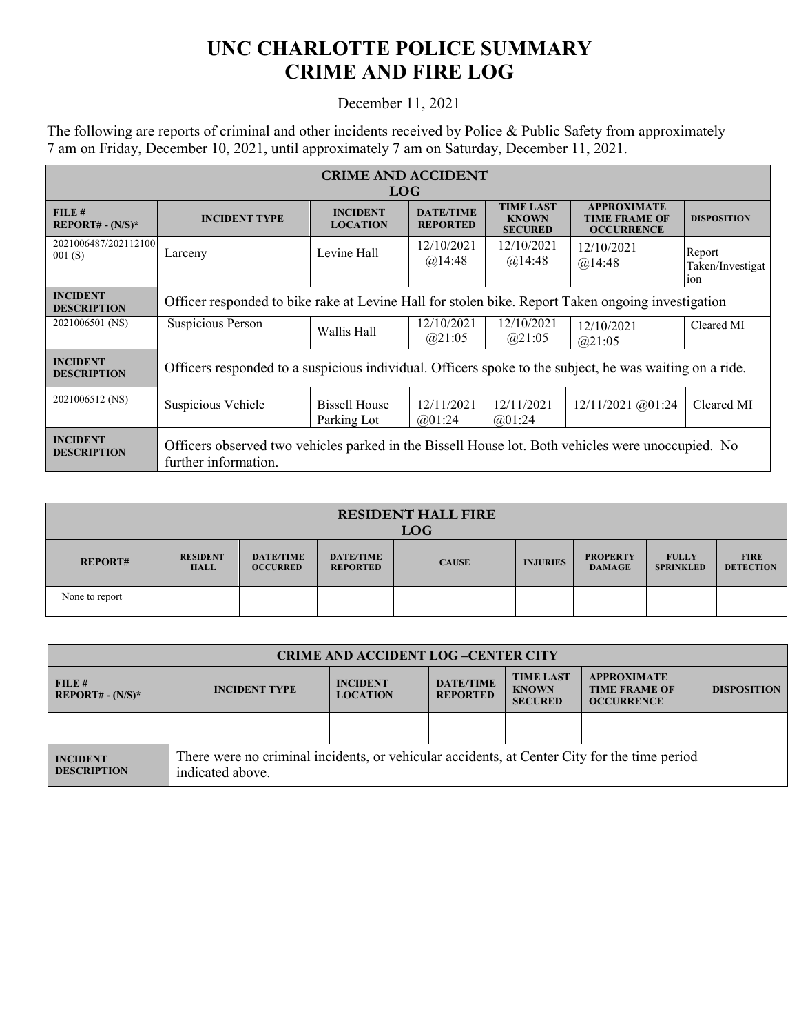## **UNC CHARLOTTE POLICE SUMMARY CRIME AND FIRE LOG**

## December 11, 2021

The following are reports of criminal and other incidents received by Police & Public Safety from approximately 7 am on Friday, December 10, 2021, until approximately 7 am on Saturday, December 11, 2021.

| <b>CRIME AND ACCIDENT</b><br><b>LOG</b> |                                                                                                                           |                                     |                                     |                                                    |                                                                 |                                   |  |
|-----------------------------------------|---------------------------------------------------------------------------------------------------------------------------|-------------------------------------|-------------------------------------|----------------------------------------------------|-----------------------------------------------------------------|-----------------------------------|--|
| FILE#<br>$REPORT# - (N/S)*$             | <b>INCIDENT TYPE</b>                                                                                                      | <b>INCIDENT</b><br><b>LOCATION</b>  | <b>DATE/TIME</b><br><b>REPORTED</b> | <b>TIME LAST</b><br><b>KNOWN</b><br><b>SECURED</b> | <b>APPROXIMATE</b><br><b>TIME FRAME OF</b><br><b>OCCURRENCE</b> | <b>DISPOSITION</b>                |  |
| 2021006487/202112100<br>001(S)          | Larceny                                                                                                                   | Levine Hall                         | 12/10/2021<br>@14:48                | 12/10/2021<br>@14:48                               | 12/10/2021<br>@14:48                                            | Report<br>Taken/Investigat<br>10n |  |
| <b>INCIDENT</b><br><b>DESCRIPTION</b>   | Officer responded to bike rake at Levine Hall for stolen bike. Report Taken ongoing investigation                         |                                     |                                     |                                                    |                                                                 |                                   |  |
| 2021006501 (NS)                         | <b>Suspicious Person</b>                                                                                                  | Wallis Hall                         | 12/10/2021<br>@21:05                | 12/10/2021<br>@21:05                               | 12/10/2021<br>@21:05                                            | Cleared MI                        |  |
| <b>INCIDENT</b><br><b>DESCRIPTION</b>   | Officers responded to a suspicious individual. Officers spoke to the subject, he was waiting on a ride.                   |                                     |                                     |                                                    |                                                                 |                                   |  |
| 2021006512 (NS)                         | Suspicious Vehicle                                                                                                        | <b>Bissell House</b><br>Parking Lot | 12/11/2021<br>(201:24)              | 12/11/2021<br>@01:24                               | 12/11/2021 @01:24                                               | Cleared MI                        |  |
| <b>INCIDENT</b><br><b>DESCRIPTION</b>   | Officers observed two vehicles parked in the Bissell House lot. Both vehicles were unoccupied. No<br>further information. |                                     |                                     |                                                    |                                                                 |                                   |  |

| <b>RESIDENT HALL FIRE</b><br><b>LOG</b> |                                |                                     |                                     |              |                 |                                  |                                  |                                 |
|-----------------------------------------|--------------------------------|-------------------------------------|-------------------------------------|--------------|-----------------|----------------------------------|----------------------------------|---------------------------------|
| <b>REPORT#</b>                          | <b>RESIDENT</b><br><b>HALL</b> | <b>DATE/TIME</b><br><b>OCCURRED</b> | <b>DATE/TIME</b><br><b>REPORTED</b> | <b>CAUSE</b> | <b>INJURIES</b> | <b>PROPERTY</b><br><b>DAMAGE</b> | <b>FULLY</b><br><b>SPRINKLED</b> | <b>FIRE</b><br><b>DETECTION</b> |
| None to report                          |                                |                                     |                                     |              |                 |                                  |                                  |                                 |

| <b>CRIME AND ACCIDENT LOG-CENTER CITY</b> |                                                                                                                  |                                    |                                     |                                                    |                                                                 |                    |  |
|-------------------------------------------|------------------------------------------------------------------------------------------------------------------|------------------------------------|-------------------------------------|----------------------------------------------------|-----------------------------------------------------------------|--------------------|--|
| FILE#<br>$REPORT# - (N/S)*$               | <b>INCIDENT TYPE</b>                                                                                             | <b>INCIDENT</b><br><b>LOCATION</b> | <b>DATE/TIME</b><br><b>REPORTED</b> | <b>TIME LAST</b><br><b>KNOWN</b><br><b>SECURED</b> | <b>APPROXIMATE</b><br><b>TIME FRAME OF</b><br><b>OCCURRENCE</b> | <b>DISPOSITION</b> |  |
|                                           |                                                                                                                  |                                    |                                     |                                                    |                                                                 |                    |  |
| <b>INCIDENT</b><br><b>DESCRIPTION</b>     | There were no criminal incidents, or vehicular accidents, at Center City for the time period<br>indicated above. |                                    |                                     |                                                    |                                                                 |                    |  |